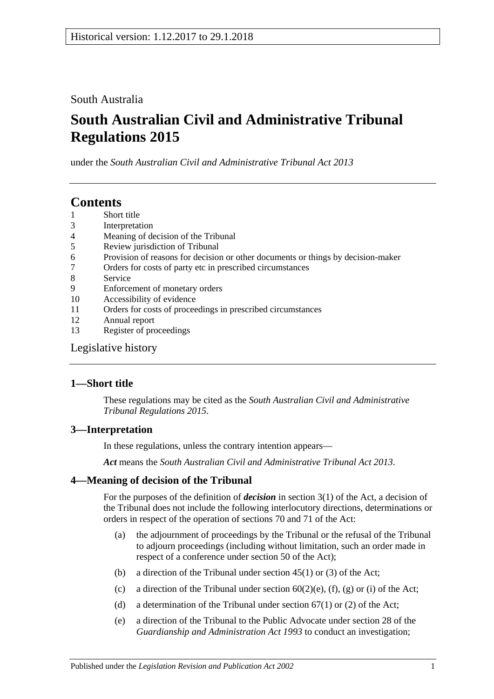## South Australia

# **South Australian Civil and Administrative Tribunal Regulations 2015**

under the *South Australian Civil and Administrative Tribunal Act 2013*

# **Contents**

- 1 [Short title](#page-0-0)
- 3 [Interpretation](#page-0-1)
- 4 [Meaning of decision of the Tribunal](#page-0-2)
- 5 [Review jurisdiction of Tribunal](#page-1-0)
- 6 [Provision of reasons for decision or other documents or things by decision-maker](#page-2-0)
- 7 [Orders for costs of party etc in prescribed circumstances](#page-2-1)
- 8 [Service](#page-2-2)
- 9 [Enforcement of monetary orders](#page-3-0)
- 10 [Accessibility of evidence](#page-3-1)
- 11 [Orders for costs of proceedings in prescribed circumstances](#page-4-0)
- 12 [Annual report](#page-4-1)
- 13 [Register of proceedings](#page-4-2)

[Legislative history](#page-6-0)

## <span id="page-0-0"></span>**1—Short title**

These regulations may be cited as the *South Australian Civil and Administrative Tribunal Regulations 2015*.

## <span id="page-0-1"></span>**3—Interpretation**

In these regulations, unless the contrary intention appears—

*Act* means the *[South Australian Civil and Administrative Tribunal Act](http://www.legislation.sa.gov.au/index.aspx?action=legref&type=act&legtitle=South%20Australian%20Civil%20and%20Administrative%20Tribunal%20Act%202013) 2013*.

## <span id="page-0-2"></span>**4—Meaning of decision of the Tribunal**

For the purposes of the definition of *decision* in section 3(1) of the Act, a decision of the Tribunal does not include the following interlocutory directions, determinations or orders in respect of the operation of sections 70 and 71 of the Act:

- (a) the adjournment of proceedings by the Tribunal or the refusal of the Tribunal to adjourn proceedings (including without limitation, such an order made in respect of a conference under section 50 of the Act);
- (b) a direction of the Tribunal under section  $45(1)$  or (3) of the Act;
- (c) a direction of the Tribunal under section  $60(2)(e)$ ,  $(f)$ ,  $(g)$  or  $(i)$  of the Act;
- (d) a determination of the Tribunal under section  $67(1)$  or (2) of the Act;
- (e) a direction of the Tribunal to the Public Advocate under section 28 of the *[Guardianship and Administration Act](http://www.legislation.sa.gov.au/index.aspx?action=legref&type=act&legtitle=Guardianship%20and%20Administration%20Act%201993) 1993* to conduct an investigation;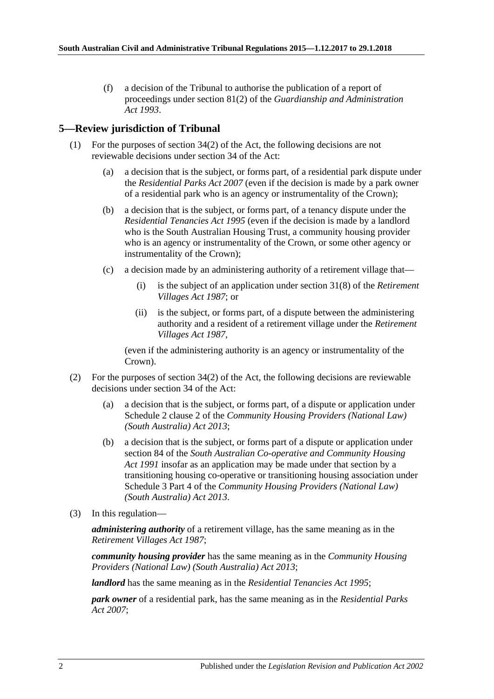(f) a decision of the Tribunal to authorise the publication of a report of proceedings under section 81(2) of the *[Guardianship and Administration](http://www.legislation.sa.gov.au/index.aspx?action=legref&type=act&legtitle=Guardianship%20and%20Administration%20Act%201993)  Act [1993](http://www.legislation.sa.gov.au/index.aspx?action=legref&type=act&legtitle=Guardianship%20and%20Administration%20Act%201993)*.

## <span id="page-1-0"></span>**5—Review jurisdiction of Tribunal**

- (1) For the purposes of section 34(2) of the Act, the following decisions are not reviewable decisions under section 34 of the Act:
	- (a) a decision that is the subject, or forms part, of a residential park dispute under the *[Residential Parks Act](http://www.legislation.sa.gov.au/index.aspx?action=legref&type=act&legtitle=Residential%20Parks%20Act%202007) 2007* (even if the decision is made by a park owner of a residential park who is an agency or instrumentality of the Crown);
	- (b) a decision that is the subject, or forms part, of a tenancy dispute under the *[Residential Tenancies Act](http://www.legislation.sa.gov.au/index.aspx?action=legref&type=act&legtitle=Residential%20Tenancies%20Act%201995) 1995* (even if the decision is made by a landlord who is the South Australian Housing Trust, a community housing provider who is an agency or instrumentality of the Crown, or some other agency or instrumentality of the Crown);
	- (c) a decision made by an administering authority of a retirement village that—
		- (i) is the subject of an application under section 31(8) of the *[Retirement](http://www.legislation.sa.gov.au/index.aspx?action=legref&type=act&legtitle=Retirement%20Villages%20Act%201987)  [Villages Act](http://www.legislation.sa.gov.au/index.aspx?action=legref&type=act&legtitle=Retirement%20Villages%20Act%201987) 1987*; or
		- (ii) is the subject, or forms part, of a dispute between the administering authority and a resident of a retirement village under the *[Retirement](http://www.legislation.sa.gov.au/index.aspx?action=legref&type=act&legtitle=Retirement%20Villages%20Act%201987)  [Villages Act](http://www.legislation.sa.gov.au/index.aspx?action=legref&type=act&legtitle=Retirement%20Villages%20Act%201987) 1987*,

(even if the administering authority is an agency or instrumentality of the Crown).

- (2) For the purposes of section  $34(2)$  of the Act, the following decisions are reviewable decisions under section 34 of the Act:
	- (a) a decision that is the subject, or forms part, of a dispute or application under Schedule 2 clause 2 of the *[Community Housing Providers \(National Law\)](http://www.legislation.sa.gov.au/index.aspx?action=legref&type=act&legtitle=Community%20Housing%20Providers%20(National%20Law)%20(South%20Australia)%20Act%202013)  [\(South Australia\) Act](http://www.legislation.sa.gov.au/index.aspx?action=legref&type=act&legtitle=Community%20Housing%20Providers%20(National%20Law)%20(South%20Australia)%20Act%202013) 2013*;
	- (b) a decision that is the subject, or forms part of a dispute or application under section 84 of the *[South Australian Co-operative and Community Housing](http://www.legislation.sa.gov.au/index.aspx?action=legref&type=act&legtitle=South%20Australian%20Co-operative%20and%20Community%20Housing%20Act%201991)  Act [1991](http://www.legislation.sa.gov.au/index.aspx?action=legref&type=act&legtitle=South%20Australian%20Co-operative%20and%20Community%20Housing%20Act%201991)* insofar as an application may be made under that section by a transitioning housing co-operative or transitioning housing association under Schedule 3 Part 4 of the *[Community Housing Providers \(National Law\)](http://www.legislation.sa.gov.au/index.aspx?action=legref&type=act&legtitle=Community%20Housing%20Providers%20(National%20Law)%20(South%20Australia)%20Act%202013)  [\(South Australia\) Act](http://www.legislation.sa.gov.au/index.aspx?action=legref&type=act&legtitle=Community%20Housing%20Providers%20(National%20Law)%20(South%20Australia)%20Act%202013) 2013*.
- (3) In this regulation—

*administering authority* of a retirement village, has the same meaning as in the *[Retirement Villages Act](http://www.legislation.sa.gov.au/index.aspx?action=legref&type=act&legtitle=Retirement%20Villages%20Act%201987) 1987*;

*community housing provider* has the same meaning as in the *[Community Housing](http://www.legislation.sa.gov.au/index.aspx?action=legref&type=act&legtitle=Community%20Housing%20Providers%20(National%20Law)%20(South%20Australia)%20Act%202013)  [Providers \(National Law\) \(South Australia\) Act](http://www.legislation.sa.gov.au/index.aspx?action=legref&type=act&legtitle=Community%20Housing%20Providers%20(National%20Law)%20(South%20Australia)%20Act%202013) 2013*;

*landlord* has the same meaning as in the *[Residential Tenancies Act](http://www.legislation.sa.gov.au/index.aspx?action=legref&type=act&legtitle=Residential%20Tenancies%20Act%201995) 1995*;

*park owner* of a residential park, has the same meaning as in the *[Residential Parks](http://www.legislation.sa.gov.au/index.aspx?action=legref&type=act&legtitle=Residential%20Parks%20Act%202007)  Act [2007](http://www.legislation.sa.gov.au/index.aspx?action=legref&type=act&legtitle=Residential%20Parks%20Act%202007)*;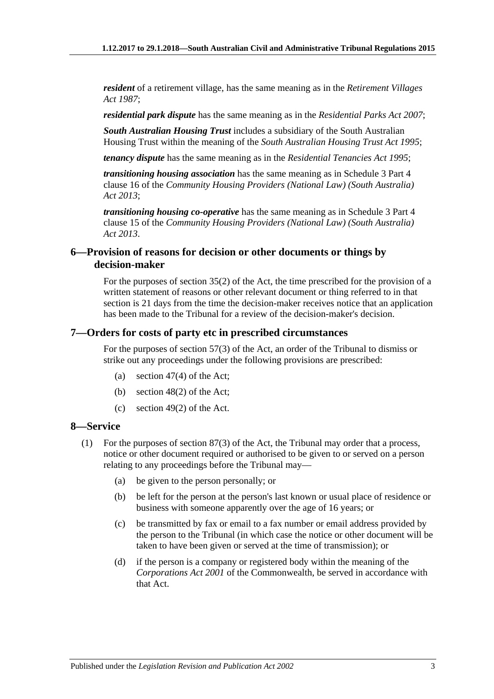*resident* of a retirement village, has the same meaning as in the *[Retirement Villages](http://www.legislation.sa.gov.au/index.aspx?action=legref&type=act&legtitle=Retirement%20Villages%20Act%201987)  Act [1987](http://www.legislation.sa.gov.au/index.aspx?action=legref&type=act&legtitle=Retirement%20Villages%20Act%201987)*;

*residential park dispute* has the same meaning as in the *[Residential Parks Act](http://www.legislation.sa.gov.au/index.aspx?action=legref&type=act&legtitle=Residential%20Parks%20Act%202007) 2007*;

*South Australian Housing Trust* includes a subsidiary of the South Australian Housing Trust within the meaning of the *[South Australian Housing Trust Act](http://www.legislation.sa.gov.au/index.aspx?action=legref&type=act&legtitle=South%20Australian%20Housing%20Trust%20Act%201995) 1995*;

*tenancy dispute* has the same meaning as in the *[Residential Tenancies Act](http://www.legislation.sa.gov.au/index.aspx?action=legref&type=act&legtitle=Residential%20Tenancies%20Act%201995) 1995*;

*transitioning housing association* has the same meaning as in Schedule 3 Part 4 clause 16 of the *[Community Housing Providers \(National Law\) \(South Australia\)](http://www.legislation.sa.gov.au/index.aspx?action=legref&type=act&legtitle=Community%20Housing%20Providers%20(National%20Law)%20(South%20Australia)%20Act%202013)  Act [2013](http://www.legislation.sa.gov.au/index.aspx?action=legref&type=act&legtitle=Community%20Housing%20Providers%20(National%20Law)%20(South%20Australia)%20Act%202013)*;

*transitioning housing co-operative* has the same meaning as in Schedule 3 Part 4 clause 15 of the *[Community Housing Providers \(National Law\) \(South Australia\)](http://www.legislation.sa.gov.au/index.aspx?action=legref&type=act&legtitle=Community%20Housing%20Providers%20(National%20Law)%20(South%20Australia)%20Act%202013)  Act [2013](http://www.legislation.sa.gov.au/index.aspx?action=legref&type=act&legtitle=Community%20Housing%20Providers%20(National%20Law)%20(South%20Australia)%20Act%202013)*.

### <span id="page-2-0"></span>**6—Provision of reasons for decision or other documents or things by decision-maker**

For the purposes of section 35(2) of the Act, the time prescribed for the provision of a written statement of reasons or other relevant document or thing referred to in that section is 21 days from the time the decision-maker receives notice that an application has been made to the Tribunal for a review of the decision-maker's decision.

#### <span id="page-2-1"></span>**7—Orders for costs of party etc in prescribed circumstances**

For the purposes of section 57(3) of the Act, an order of the Tribunal to dismiss or strike out any proceedings under the following provisions are prescribed:

- (a) section 47(4) of the Act;
- (b) section 48(2) of the Act;
- (c) section 49(2) of the Act.

### <span id="page-2-2"></span>**8—Service**

- (1) For the purposes of section 87(3) of the Act, the Tribunal may order that a process, notice or other document required or authorised to be given to or served on a person relating to any proceedings before the Tribunal may—
	- (a) be given to the person personally; or
	- (b) be left for the person at the person's last known or usual place of residence or business with someone apparently over the age of 16 years; or
	- (c) be transmitted by fax or email to a fax number or email address provided by the person to the Tribunal (in which case the notice or other document will be taken to have been given or served at the time of transmission); or
	- (d) if the person is a company or registered body within the meaning of the *Corporations Act 2001* of the Commonwealth, be served in accordance with that Act.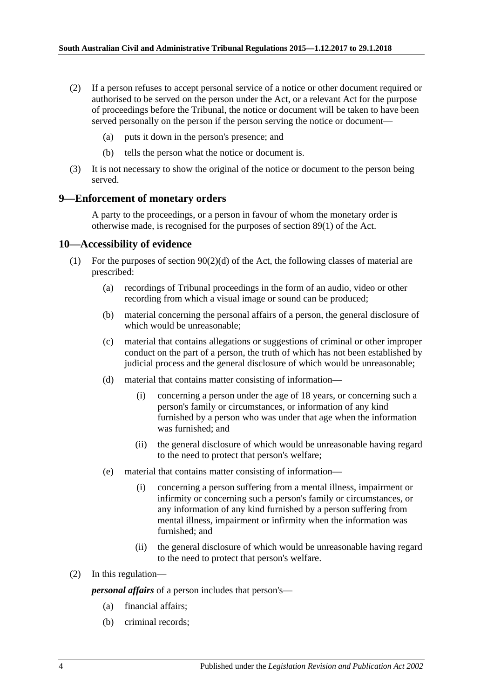- (2) If a person refuses to accept personal service of a notice or other document required or authorised to be served on the person under the Act, or a relevant Act for the purpose of proceedings before the Tribunal, the notice or document will be taken to have been served personally on the person if the person serving the notice or document—
	- (a) puts it down in the person's presence; and
	- (b) tells the person what the notice or document is.
- (3) It is not necessary to show the original of the notice or document to the person being served.

#### <span id="page-3-0"></span>**9—Enforcement of monetary orders**

A party to the proceedings, or a person in favour of whom the monetary order is otherwise made, is recognised for the purposes of section 89(1) of the Act.

#### <span id="page-3-1"></span>**10—Accessibility of evidence**

- (1) For the purposes of section 90(2)(d) of the Act, the following classes of material are prescribed:
	- (a) recordings of Tribunal proceedings in the form of an audio, video or other recording from which a visual image or sound can be produced;
	- (b) material concerning the personal affairs of a person, the general disclosure of which would be unreasonable;
	- (c) material that contains allegations or suggestions of criminal or other improper conduct on the part of a person, the truth of which has not been established by judicial process and the general disclosure of which would be unreasonable;
	- (d) material that contains matter consisting of information—
		- (i) concerning a person under the age of 18 years, or concerning such a person's family or circumstances, or information of any kind furnished by a person who was under that age when the information was furnished; and
		- (ii) the general disclosure of which would be unreasonable having regard to the need to protect that person's welfare;
	- (e) material that contains matter consisting of information—
		- (i) concerning a person suffering from a mental illness, impairment or infirmity or concerning such a person's family or circumstances, or any information of any kind furnished by a person suffering from mental illness, impairment or infirmity when the information was furnished; and
		- (ii) the general disclosure of which would be unreasonable having regard to the need to protect that person's welfare.

#### (2) In this regulation—

*personal affairs* of a person includes that person's—

- (a) financial affairs;
- (b) criminal records;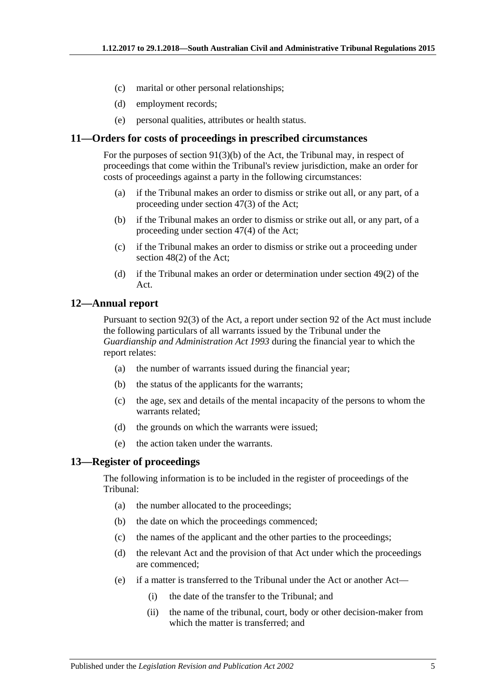- (c) marital or other personal relationships;
- (d) employment records;
- (e) personal qualities, attributes or health status.

#### <span id="page-4-0"></span>**11—Orders for costs of proceedings in prescribed circumstances**

For the purposes of section 91(3)(b) of the Act, the Tribunal may, in respect of proceedings that come within the Tribunal's review jurisdiction, make an order for costs of proceedings against a party in the following circumstances:

- (a) if the Tribunal makes an order to dismiss or strike out all, or any part, of a proceeding under section 47(3) of the Act;
- (b) if the Tribunal makes an order to dismiss or strike out all, or any part, of a proceeding under section 47(4) of the Act;
- (c) if the Tribunal makes an order to dismiss or strike out a proceeding under section 48(2) of the Act;
- (d) if the Tribunal makes an order or determination under section 49(2) of the Act.

#### <span id="page-4-1"></span>**12—Annual report**

Pursuant to section 92(3) of the Act, a report under section 92 of the Act must include the following particulars of all warrants issued by the Tribunal under the *[Guardianship and Administration Act](http://www.legislation.sa.gov.au/index.aspx?action=legref&type=act&legtitle=Guardianship%20and%20Administration%20Act%201993) 1993* during the financial year to which the report relates:

- (a) the number of warrants issued during the financial year;
- (b) the status of the applicants for the warrants;
- (c) the age, sex and details of the mental incapacity of the persons to whom the warrants related;
- (d) the grounds on which the warrants were issued;
- (e) the action taken under the warrants.

## <span id="page-4-2"></span>**13—Register of proceedings**

The following information is to be included in the register of proceedings of the Tribunal:

- (a) the number allocated to the proceedings;
- (b) the date on which the proceedings commenced;
- (c) the names of the applicant and the other parties to the proceedings;
- (d) the relevant Act and the provision of that Act under which the proceedings are commenced;
- (e) if a matter is transferred to the Tribunal under the Act or another Act—
	- (i) the date of the transfer to the Tribunal; and
	- (ii) the name of the tribunal, court, body or other decision-maker from which the matter is transferred; and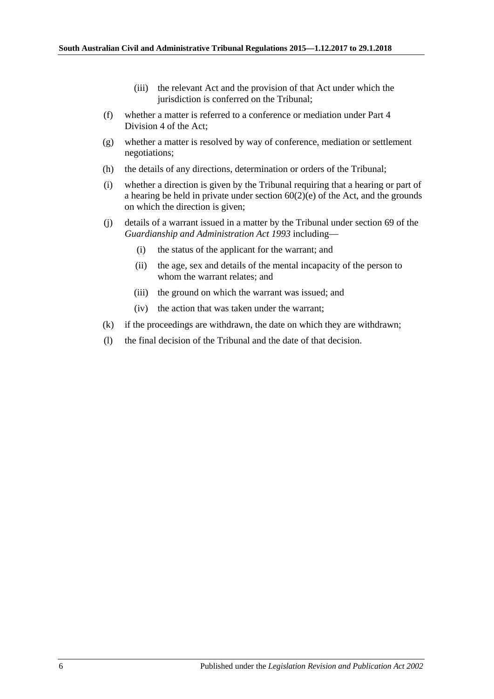- (iii) the relevant Act and the provision of that Act under which the jurisdiction is conferred on the Tribunal;
- (f) whether a matter is referred to a conference or mediation under Part 4 Division 4 of the Act;
- (g) whether a matter is resolved by way of conference, mediation or settlement negotiations;
- (h) the details of any directions, determination or orders of the Tribunal;
- (i) whether a direction is given by the Tribunal requiring that a hearing or part of a hearing be held in private under section 60(2)(e) of the Act, and the grounds on which the direction is given;
- (j) details of a warrant issued in a matter by the Tribunal under section 69 of the *[Guardianship and Administration Act](http://www.legislation.sa.gov.au/index.aspx?action=legref&type=act&legtitle=Guardianship%20and%20Administration%20Act%201993) 1993* including—
	- (i) the status of the applicant for the warrant; and
	- (ii) the age, sex and details of the mental incapacity of the person to whom the warrant relates; and
	- (iii) the ground on which the warrant was issued; and
	- (iv) the action that was taken under the warrant;
- (k) if the proceedings are withdrawn, the date on which they are withdrawn;
- (l) the final decision of the Tribunal and the date of that decision.